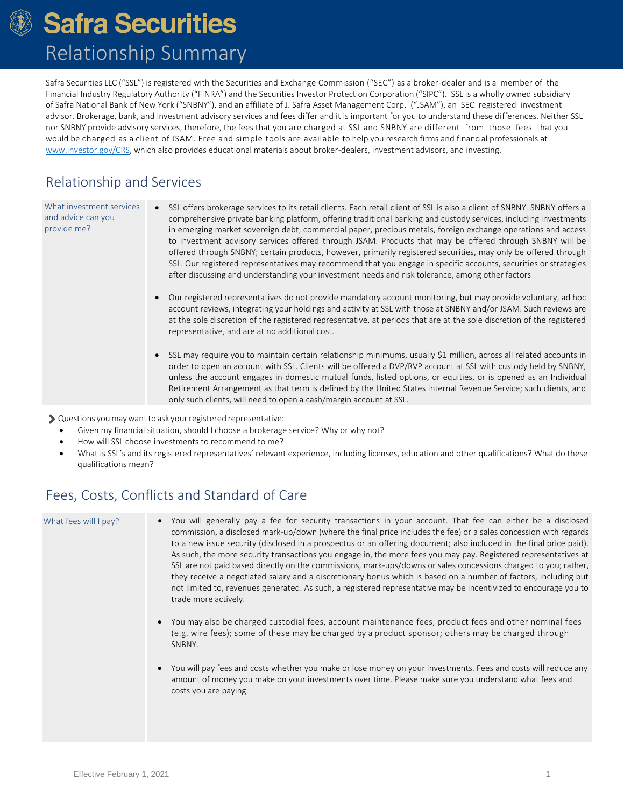## **Safra Securities** Relationship Summary

Safra Securities LLC ("SSL") is registered with the Securities and Exchange Commission ("SEC") as a broker‐dealer and is a member of the Financial Industry Regulatory Authority ("FINRA") and the Securities Investor Protection Corporation ("SIPC"). SSL is a wholly owned subsidiary of Safra National Bank of New York ("SNBNY"), and an affiliate of J. Safra Asset Management Corp. ("JSAM"), an SEC registered investment advisor. Brokerage, bank, and investment advisory services and fees differ and it is important for you to understand these differences. Neither SSL nor SNBNY provide advisory services, therefore, the fees that you are charged at SSL and SNBNY are different from those fees that you would be charged as a client of JSAM. Free and simple tools are available to help you research firms and financial professionals at [www.investor.gov/CRS,](http://www.investor.gov/CRS) which also provides educational materials about broker-dealers, investment advisors, and investing.

#### Relationship and Services

What investment services and advice can you provide me?

- SSL offers brokerage services to its retail clients. Each retail client of SSL is also a client of SNBNY. SNBNY offers a comprehensive private banking platform, offering traditional banking and custody services, including investments in emerging market sovereign debt, commercial paper, precious metals, foreign exchange operations and access to investment advisory services offered through JSAM. Products that may be offered through SNBNY will be offered through SNBNY; certain products, however, primarily registered securities, may only be offered through SSL. Our registered representatives may recommend that you engage in specific accounts, securities or strategies after discussing and understanding your investment needs and risk tolerance, among other factors
- Our registered representatives do not provide mandatory account monitoring, but may provide voluntary, ad hoc account reviews, integrating your holdings and activity at SSL with those at SNBNY and/or JSAM. Such reviews are at the sole discretion of the registered representative, at periods that are at the sole discretion of the registered representative, and are at no additional cost.
- SSL may require you to maintain certain relationship minimums, usually \$1 million, across all related accounts in order to open an account with SSL. Clients will be offered a DVP/RVP account at SSL with custody held by SNBNY, unless the account engages in domestic mutual funds, listed options, or equities, or is opened as an Individual Retirement Arrangement as that term is defined by the United States Internal Revenue Service; such clients, and only such clients, will need to open a cash/margin account at SSL.

Questions youmaywantto ask yourregistered representative:

- Given my financial situation, should I choose a brokerage service? Why or why not?
- How will SSL choose investments to recommend to me?
- What is SSL's and its registered representatives' relevant experience, including licenses, education and other qualifications? What do these qualifications mean?

### Fees, Costs, Conflicts and Standard of Care

- What fees will I pay? You will generally pay a fee for security transactions in your account. That fee can either be a disclosed commission, a disclosed mark‐up/down (where the final price includes the fee) or a sales concession with regards to a new issue security (disclosed in a prospectus or an offering document; also included in the final price paid). As such, the more security transactions you engage in, the more fees you may pay. Registered representatives at SSL are not paid based directly on the commissions, mark-ups/downs or sales concessions charged to you; rather, they receive a negotiated salary and a discretionary bonus which is based on a number of factors, including but not limited to, revenues generated. As such, a registered representative may be incentivized to encourage you to trade more actively.
	- You may also be charged custodial fees, account maintenance fees, product fees and other nominal fees (e.g. wire fees); some of these may be charged by a product sponsor; others may be charged through SNBNY.
	- You will pay fees and costs whether you make or lose money on your investments. Fees and costs will reduce any amount of money you make on your investments over time. Please make sure you understand what fees and costs you are paying.